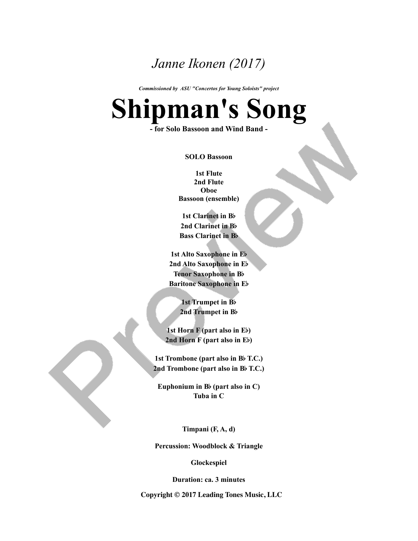## *Janne Ikonen (2017)*

*Commissioned by ASU "Concertos for Young Soloists" project*

## **Shipman's Song**

**- for Solo Bassoon and Wind Band -**

**SOLO Bassoon**

**1st Flute 2nd Flute Oboe Bassoon (ensemble)**

**1st Clarinet in B**b **2nd Clarinet in B**b **Bass Clarinet in B**b

**1st Alto Saxophone in E**b **2nd Alto Saxophone in E**b **Tenor Saxophone in B**b **Baritone Saxophone in E**b

> **1st Trumpet in B**b **2nd Trumpet in B**b

**1st Horn F (part also in E**b**) 2nd Horn F (part also in E**b**)**

**1st Trombone (part also in B**b **T.C.) 2nd Trombone (part also in B**b **T.C.)**

**Euphonium in B**b **(part also in C) Tuba in C**

**Timpani (F, A, d)**

**Percussion: Woodblock & Triangle**

**Glockespiel**

**Duration: ca. 3 minutes**

**Copyright © 2017Leading Tones Music, LLC**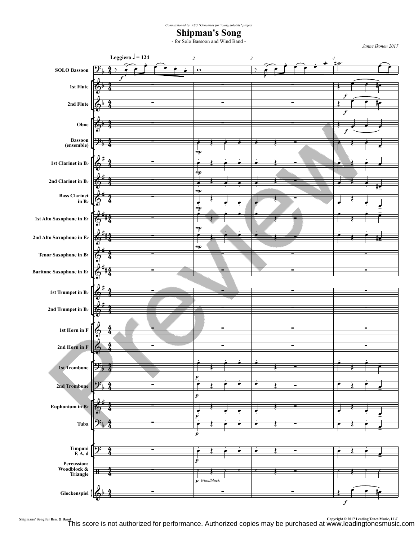*Commissioned by ASU "Concertos for Young Soloists" project*

**Shipman's Song**

- for Solo Bassoon and Wind Band -

*Janne Ikonen 2017*



Shipmans' Song for Bsn. & Band Tens Music, LLC<br>This score is not authorized for performance. Authorized copies may be purchased at www.leadingtonesmusic.com أThis score is not authorized for performance. Authorized copie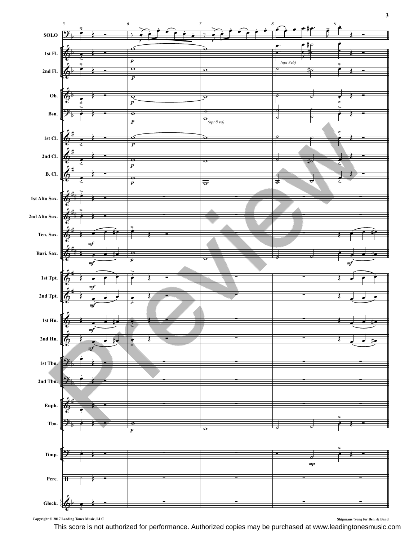

Copyright  $@$  2017 Leading Tones Music, LLC

Shipmans' Song for Bsn. & Band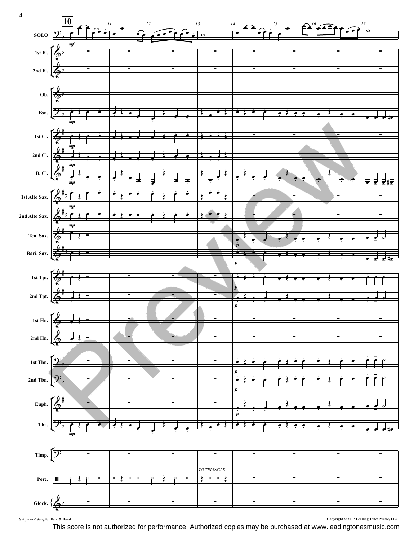

 $\blacksquare$  **Song for Bsn. &** Band **Shipmans'**  $\blacksquare$  **Solution**  $\blacksquare$  **Copyright**  $\blacksquare$  **2017** Leading Tones Music, LLC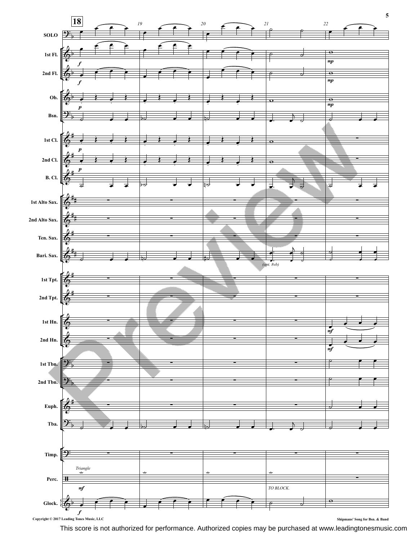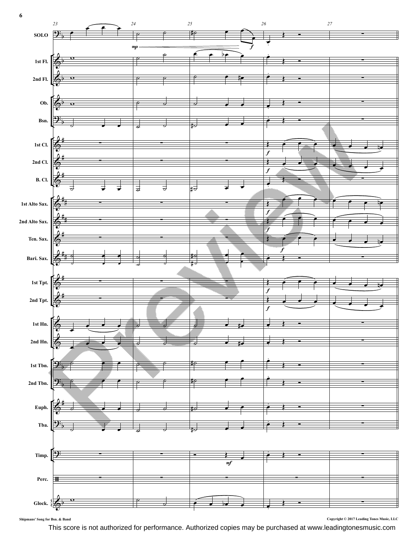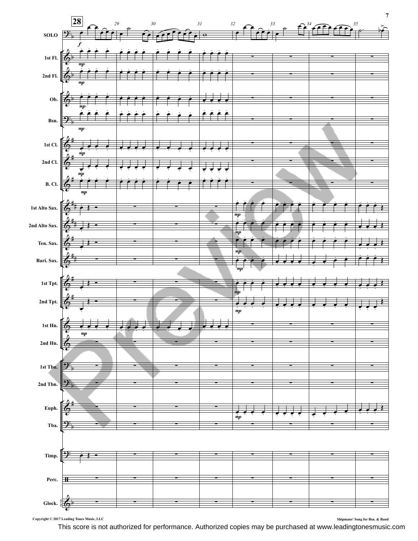

**Copyright © 2017Leading Tones Music, LLC Shipmans' Song for Bsn. & Band**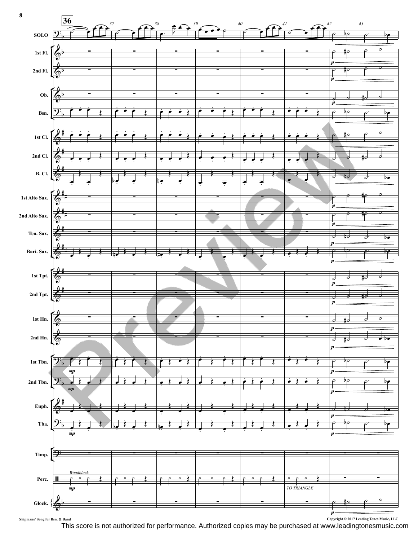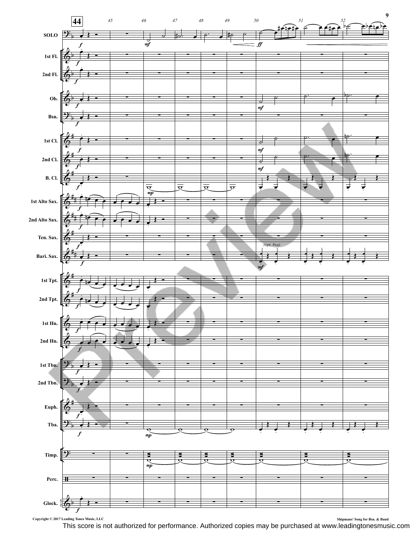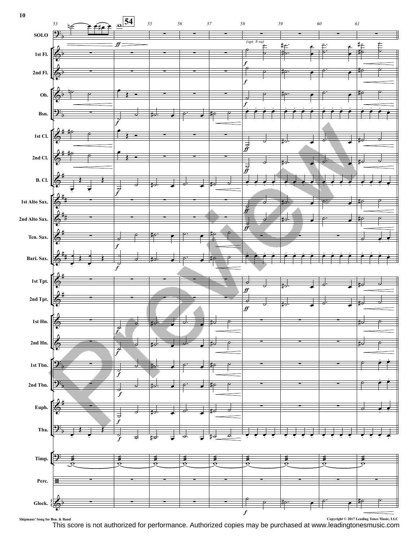

Shipmans' Song for Bsn. & Band Copyright © 2017 Leading Tones Music, LLC<br>This score is not authorized for performance. Authorized copies may be purchased at www.leadingtonesmusic.com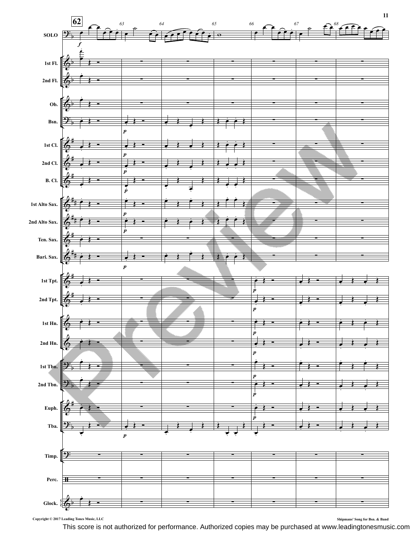

Copyright  $\copyright$  2017 Leading Tones Music, LLC

Shipmans' Song for Bsn. & Band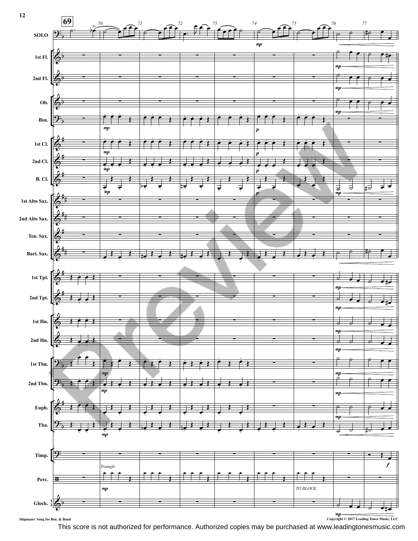

This score is not authorized for performance. Authorized copies may be purchased at www.leadingtonesmusic.com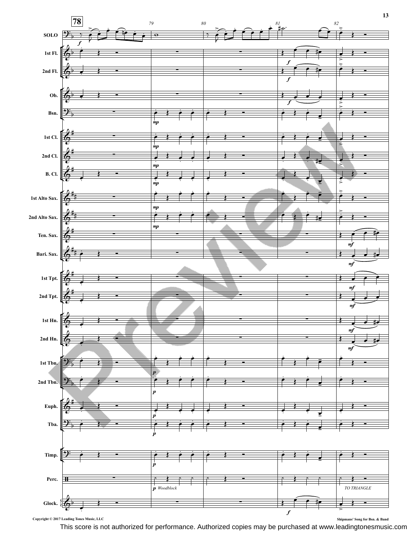

This score is not authorized for performance. Authorized copies may be purchased at www.leadingtonesmusic.com